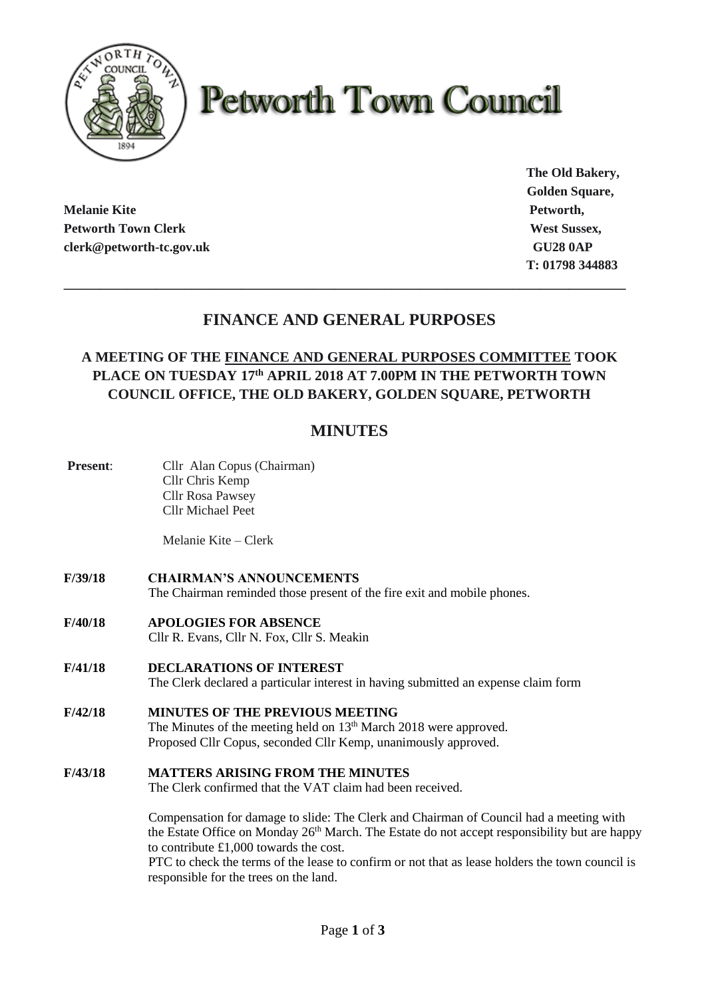

# **Petworth Town Council**

**Melanie Kite Petworth, Petworth Town Clerk West Sussex, West Sussex, West Sussex, West Sussex, West Sussex, West Sussex, West Sussex, West Sussex, West Sussex, West Sussex, West Sussex, West Sussex, West Sussex, West Sussex, West Sussex, West S clerk@petworth-tc.gov.uk** GU28 0AP

**The Old Bakery, Golden Square, T: 01798 344883**

# **FINANCE AND GENERAL PURPOSES**

**\_\_\_\_\_\_\_\_\_\_\_\_\_\_\_\_\_\_\_\_\_\_\_\_\_\_\_\_\_\_\_\_\_\_\_\_\_\_\_\_\_\_\_\_\_\_\_\_\_\_\_\_\_\_\_\_\_\_\_\_\_\_\_\_\_\_\_\_\_\_\_\_\_\_\_\_\_\_\_**

## **A MEETING OF THE FINANCE AND GENERAL PURPOSES COMMITTEE TOOK PLACE ON TUESDAY 17th APRIL 2018 AT 7.00PM IN THE PETWORTH TOWN COUNCIL OFFICE, THE OLD BAKERY, GOLDEN SQUARE, PETWORTH**

## **MINUTES**

**Present:** Cllr Alan Copus (Chairman) Cllr Chris Kemp Cllr Rosa Pawsey Cllr Michael Peet

Melanie Kite – Clerk

- **F/39/18 CHAIRMAN'S ANNOUNCEMENTS** The Chairman reminded those present of the fire exit and mobile phones.
- **F/40/18 APOLOGIES FOR ABSENCE** Cllr R. Evans, Cllr N. Fox, Cllr S. Meakin
- **F/41/18 DECLARATIONS OF INTEREST**

The Clerk declared a particular interest in having submitted an expense claim form

- **F/42/18 MINUTES OF THE PREVIOUS MEETING** The Minutes of the meeting held on 13<sup>th</sup> March 2018 were approved. Proposed Cllr Copus, seconded Cllr Kemp, unanimously approved.
- **F/43/18 MATTERS ARISING FROM THE MINUTES**

The Clerk confirmed that the VAT claim had been received.

Compensation for damage to slide: The Clerk and Chairman of Council had a meeting with the Estate Office on Monday 26<sup>th</sup> March. The Estate do not accept responsibility but are happy to contribute £1,000 towards the cost.

PTC to check the terms of the lease to confirm or not that as lease holders the town council is responsible for the trees on the land.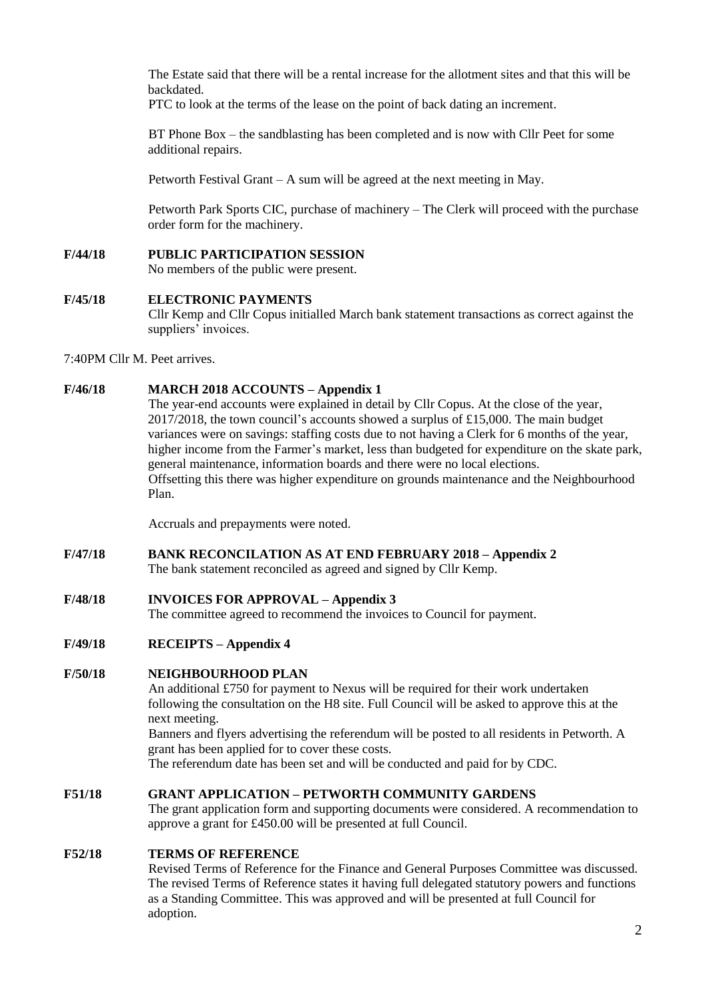The Estate said that there will be a rental increase for the allotment sites and that this will be backdated.

PTC to look at the terms of the lease on the point of back dating an increment.

BT Phone Box – the sandblasting has been completed and is now with Cllr Peet for some additional repairs.

Petworth Festival Grant – A sum will be agreed at the next meeting in May.

Petworth Park Sports CIC, purchase of machinery – The Clerk will proceed with the purchase order form for the machinery.

**F/44/18 PUBLIC PARTICIPATION SESSION**

No members of the public were present.

#### **F/45/18 ELECTRONIC PAYMENTS**

Cllr Kemp and Cllr Copus initialled March bank statement transactions as correct against the suppliers' invoices.

7:40PM Cllr M. Peet arrives.

#### **F/46/18 MARCH 2018 ACCOUNTS – Appendix 1**

The year-end accounts were explained in detail by Cllr Copus. At the close of the year,  $2017/2018$ , the town council's accounts showed a surplus of £15,000. The main budget variances were on savings: staffing costs due to not having a Clerk for 6 months of the year, higher income from the Farmer's market, less than budgeted for expenditure on the skate park, general maintenance, information boards and there were no local elections. Offsetting this there was higher expenditure on grounds maintenance and the Neighbourhood Plan.

Accruals and prepayments were noted.

- **F/47/18 BANK RECONCILATION AS AT END FEBRUARY 2018 – Appendix 2**
	- The bank statement reconciled as agreed and signed by Cllr Kemp.
- **F/48/18 INVOICES FOR APPROVAL – Appendix 3**

The committee agreed to recommend the invoices to Council for payment.

**F/49/18 RECEIPTS – Appendix 4**

## **F/50/18 NEIGHBOURHOOD PLAN**

An additional £750 for payment to Nexus will be required for their work undertaken following the consultation on the H8 site. Full Council will be asked to approve this at the next meeting.

Banners and flyers advertising the referendum will be posted to all residents in Petworth. A grant has been applied for to cover these costs.

The referendum date has been set and will be conducted and paid for by CDC.

### **F51/18 GRANT APPLICATION – PETWORTH COMMUNITY GARDENS**

The grant application form and supporting documents were considered. A recommendation to approve a grant for £450.00 will be presented at full Council.

#### **F52/18 TERMS OF REFERENCE**

Revised Terms of Reference for the Finance and General Purposes Committee was discussed. The revised Terms of Reference states it having full delegated statutory powers and functions as a Standing Committee. This was approved and will be presented at full Council for adoption.